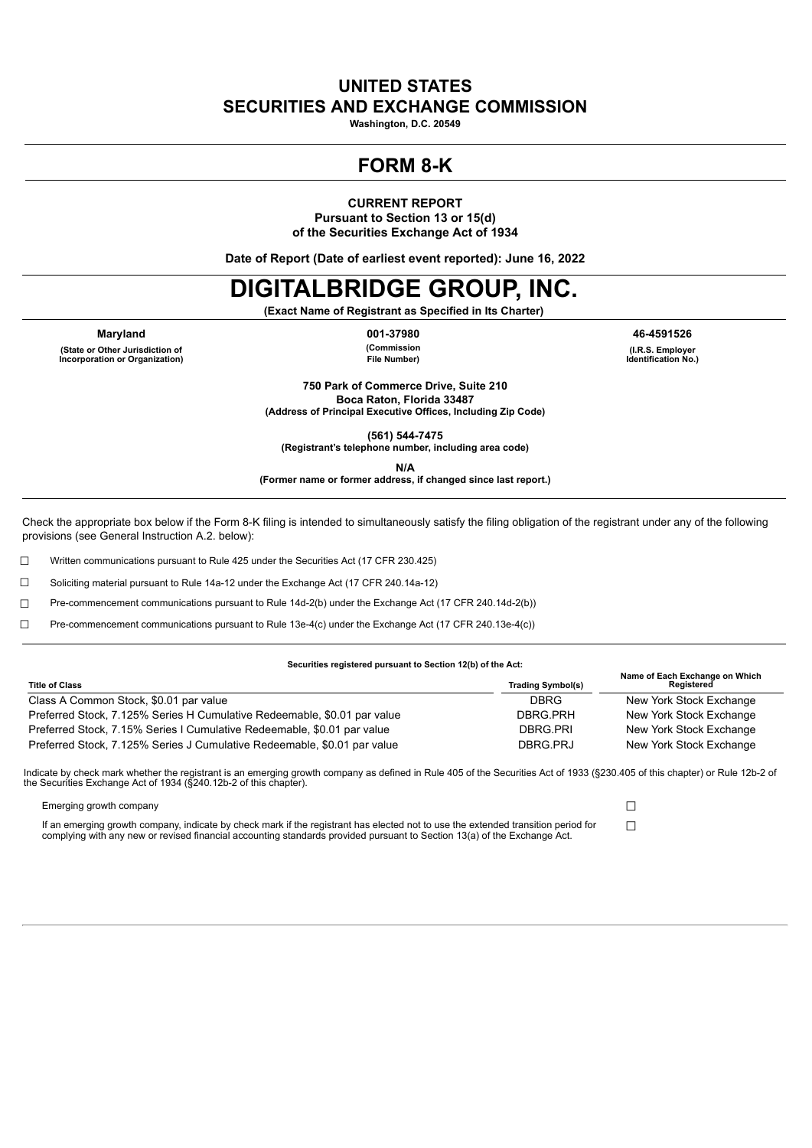## **UNITED STATES SECURITIES AND EXCHANGE COMMISSION**

**Washington, D.C. 20549**

## **FORM 8-K**

**CURRENT REPORT**

**Pursuant to Section 13 or 15(d) of the Securities Exchange Act of 1934**

**Date of Report (Date of earliest event reported): June 16, 2022**

# **DIGITALBRIDGE GROUP, INC.**

**(Exact Name of Registrant as Specified in Its Charter)**

**Maryland 001-37980 46-4591526 (State or Other Jurisdiction of Incorporation or Organization)**

**(Commission File Number)**

**(I.R.S. Employer Identification No.)**

**750 Park of Commerce Drive, Suite 210 Boca Raton, Florida 33487 (Address of Principal Executive Offices, Including Zip Code)**

**(561) 544-7475**

**(Registrant's telephone number, including area code)**

**N/A**

**(Former name or former address, if changed since last report.)**

Check the appropriate box below if the Form 8-K filing is intended to simultaneously satisfy the filing obligation of the registrant under any of the following provisions (see General Instruction A.2. below):

☐ Written communications pursuant to Rule 425 under the Securities Act (17 CFR 230.425)

☐ Soliciting material pursuant to Rule 14a-12 under the Exchange Act (17 CFR 240.14a-12)

☐ Pre-commencement communications pursuant to Rule 14d-2(b) under the Exchange Act (17 CFR 240.14d-2(b))

☐ Pre-commencement communications pursuant to Rule 13e-4(c) under the Exchange Act (17 CFR 240.13e-4(c))

#### **Securities registered pursuant to Section 12(b) of the Act:**

| <b>Title of Class</b>                                                    | <b>Trading Symbol(s)</b> | Name of Each Exchange on Which<br>Reaistered |
|--------------------------------------------------------------------------|--------------------------|----------------------------------------------|
| Class A Common Stock, \$0.01 par value                                   | DBRG                     | New York Stock Exchange                      |
| Preferred Stock, 7.125% Series H Cumulative Redeemable, \$0.01 par value | DBRG.PRH                 | New York Stock Exchange                      |
| Preferred Stock, 7.15% Series I Cumulative Redeemable, \$0.01 par value  | DBRG.PRI                 | New York Stock Exchange                      |
| Preferred Stock, 7.125% Series J Cumulative Redeemable, \$0.01 par value | DBRG.PRJ                 | New York Stock Exchange                      |

Indicate by check mark whether the registrant is an emerging growth company as defined in Rule 405 of the Securities Act of 1933 (§230.405 of this chapter) or Rule 12b-2 of the Securities Exchange Act of 1934 (§240.12b-2 of this chapter).

Emerging growth company ☐

If an emerging growth company, indicate by check mark if the registrant has elected not to use the extended transition period for complying with any new or revised financial accounting standards provided pursuant to Section 13(a) of the Exchange Act.

 $\Box$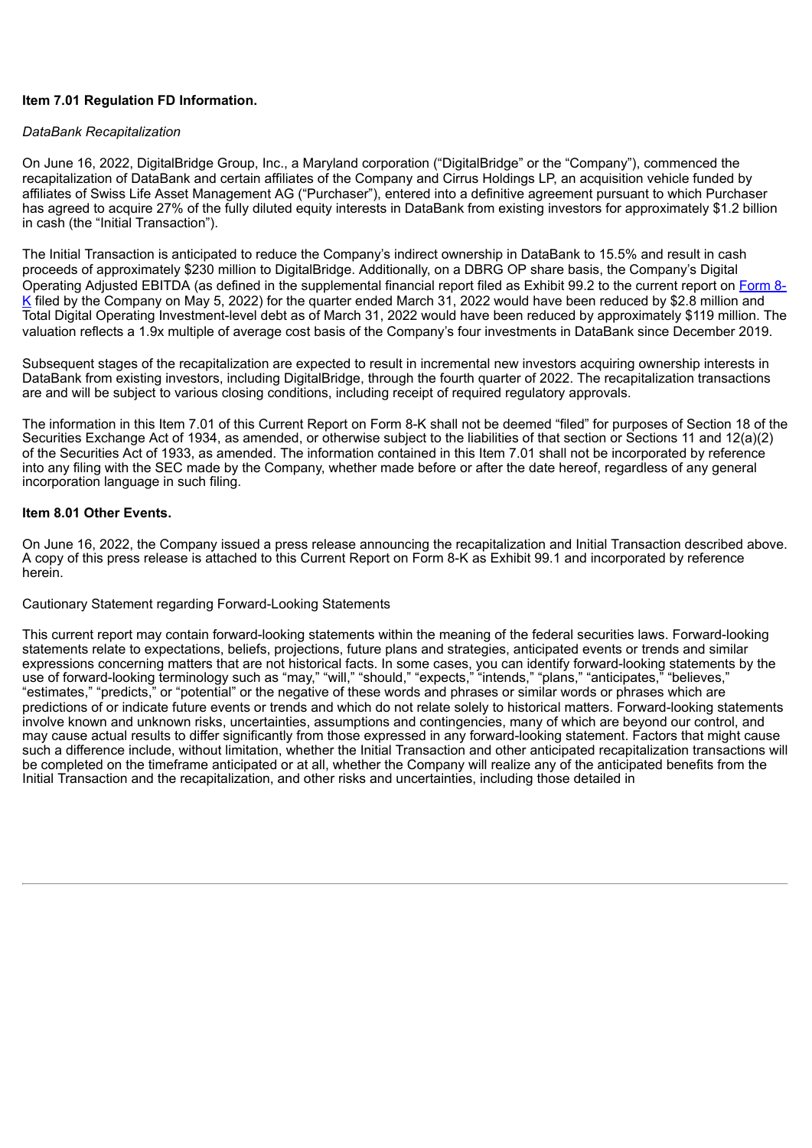## **Item 7.01 Regulation FD Information.**

## *DataBank Recapitalization*

On June 16, 2022, DigitalBridge Group, Inc., a Maryland corporation ("DigitalBridge" or the "Company"), commenced the recapitalization of DataBank and certain affiliates of the Company and Cirrus Holdings LP, an acquisition vehicle funded by affiliates of Swiss Life Asset Management AG ("Purchaser"), entered into a definitive agreement pursuant to which Purchaser has agreed to acquire 27% of the fully diluted equity interests in DataBank from existing investors for approximately \$1.2 billion in cash (the "Initial Transaction").

The Initial Transaction is anticipated to reduce the Company's indirect ownership in DataBank to 15.5% and result in cash proceeds of approximately \$230 million to DigitalBridge. Additionally, on a DBRG OP share basis, the Company's Digital Operating Adjusted EBITDA (as defined in the [supplemental](https://www.sec.gov/ix?doc=/Archives/edgar/data/1679688/000167968822000055/dbrg-20220505.htm) financial report filed as Exhibit 99.2 to the current report on Form 8- K filed by the Company on May 5, 2022) for the quarter ended March 31, 2022 would have been reduced by \$2.8 million and Total Digital Operating Investment-level debt as of March 31, 2022 would have been reduced by approximately \$119 million. The valuation reflects a 1.9x multiple of average cost basis of the Company's four investments in DataBank since December 2019.

Subsequent stages of the recapitalization are expected to result in incremental new investors acquiring ownership interests in DataBank from existing investors, including DigitalBridge, through the fourth quarter of 2022. The recapitalization transactions are and will be subject to various closing conditions, including receipt of required regulatory approvals.

The information in this Item 7.01 of this Current Report on Form 8-K shall not be deemed "filed" for purposes of Section 18 of the Securities Exchange Act of 1934, as amended, or otherwise subject to the liabilities of that section or Sections 11 and 12(a)(2) of the Securities Act of 1933, as amended. The information contained in this Item 7.01 shall not be incorporated by reference into any filing with the SEC made by the Company, whether made before or after the date hereof, regardless of any general incorporation language in such filing.

## **Item 8.01 Other Events.**

On June 16, 2022, the Company issued a press release announcing the recapitalization and Initial Transaction described above. A copy of this press release is attached to this Current Report on Form 8-K as Exhibit 99.1 and incorporated by reference herein.

#### Cautionary Statement regarding Forward-Looking Statements

This current report may contain forward-looking statements within the meaning of the federal securities laws. Forward-looking statements relate to expectations, beliefs, projections, future plans and strategies, anticipated events or trends and similar expressions concerning matters that are not historical facts. In some cases, you can identify forward-looking statements by the use of forward-looking terminology such as "may," "will," "should," "expects," "intends," "plans," "anticipates," "believes," "estimates," "predicts," or "potential" or the negative of these words and phrases or similar words or phrases which are predictions of or indicate future events or trends and which do not relate solely to historical matters. Forward-looking statements involve known and unknown risks, uncertainties, assumptions and contingencies, many of which are beyond our control, and may cause actual results to differ significantly from those expressed in any forward-looking statement. Factors that might cause such a difference include, without limitation, whether the Initial Transaction and other anticipated recapitalization transactions will be completed on the timeframe anticipated or at all, whether the Company will realize any of the anticipated benefits from the Initial Transaction and the recapitalization, and other risks and uncertainties, including those detailed in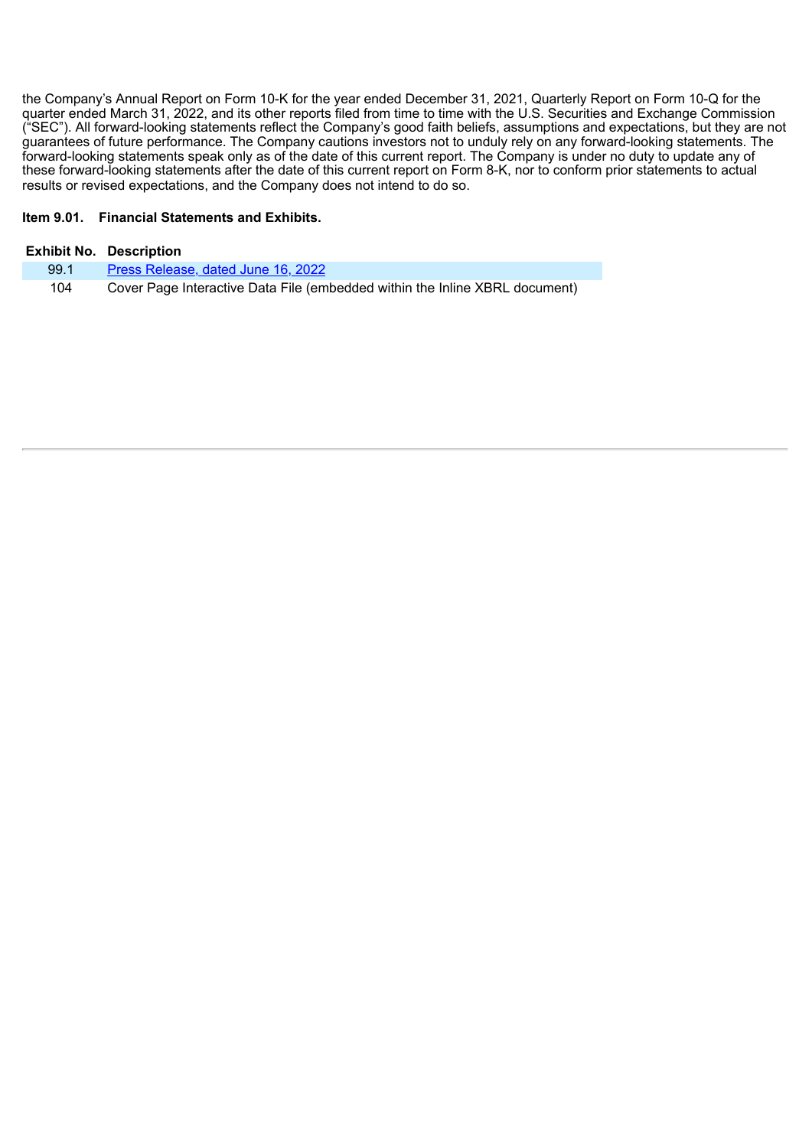the Company's Annual Report on Form 10-K for the year ended December 31, 2021, Quarterly Report on Form 10-Q for the quarter ended March 31, 2022, and its other reports filed from time to time with the U.S. Securities and Exchange Commission ("SEC"). All forward-looking statements reflect the Company's good faith beliefs, assumptions and expectations, but they are not guarantees of future performance. The Company cautions investors not to unduly rely on any forward-looking statements. The forward-looking statements speak only as of the date of this current report. The Company is under no duty to update any of these forward-looking statements after the date of this current report on Form 8-K, nor to conform prior statements to actual results or revised expectations, and the Company does not intend to do so.

## **Item 9.01. Financial Statements and Exhibits.**

|      | <b>Exhibit No. Description</b>                                              |
|------|-----------------------------------------------------------------------------|
| 99.1 | Press Release, dated June 16, 2022                                          |
| 104  | Cover Page Interactive Data File (embedded within the Inline XBRL document) |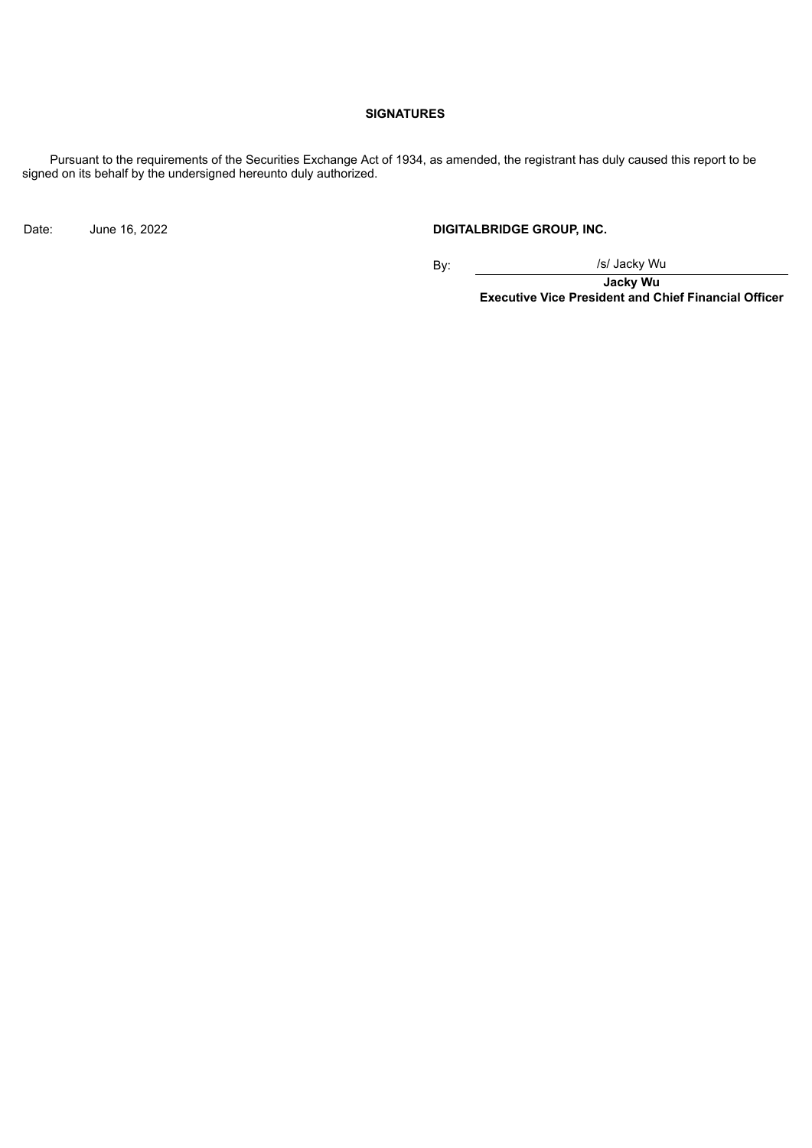## **SIGNATURES**

Pursuant to the requirements of the Securities Exchange Act of 1934, as amended, the registrant has duly caused this report to be signed on its behalf by the undersigned hereunto duly authorized.

Date: June 16, 2022 **DIGITALBRIDGE GROUP, INC.**

By: /s/ Jacky Wu

**Jacky Wu Executive Vice President and Chief Financial Officer**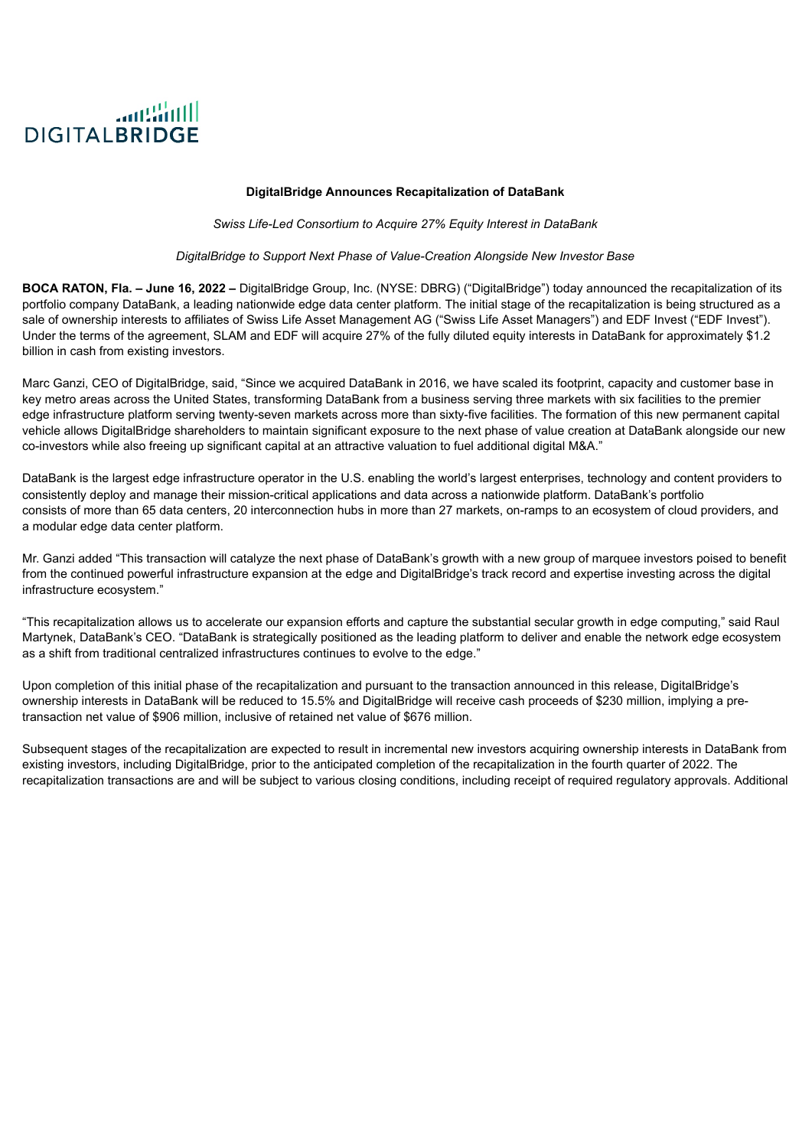<span id="page-4-0"></span>

#### **DigitalBridge Announces Recapitalization of DataBank**

*Swiss Life-Led Consortium to Acquire 27% Equity Interest in DataBank*

*DigitalBridge to Support Next Phase of Value-Creation Alongside New Investor Base*

**BOCA RATON, Fla. – June 16, 2022 –** DigitalBridge Group, Inc. (NYSE: DBRG) ("DigitalBridge") today announced the recapitalization of its portfolio company DataBank, a leading nationwide edge data center platform. The initial stage of the recapitalization is being structured as a sale of ownership interests to affiliates of Swiss Life Asset Management AG ("Swiss Life Asset Managers") and EDF Invest ("EDF Invest"). Under the terms of the agreement, SLAM and EDF will acquire 27% of the fully diluted equity interests in DataBank for approximately \$1.2 billion in cash from existing investors.

Marc Ganzi, CEO of DigitalBridge, said, "Since we acquired DataBank in 2016, we have scaled its footprint, capacity and customer base in key metro areas across the United States, transforming DataBank from a business serving three markets with six facilities to the premier edge infrastructure platform serving twenty-seven markets across more than sixty-five facilities. The formation of this new permanent capital vehicle allows DigitalBridge shareholders to maintain significant exposure to the next phase of value creation at DataBank alongside our new co-investors while also freeing up significant capital at an attractive valuation to fuel additional digital M&A."

DataBank is the largest edge infrastructure operator in the U.S. enabling the world's largest enterprises, technology and content providers to consistently deploy and manage their mission-critical applications and data across a nationwide platform. DataBank's portfolio consists of more than 65 data centers, 20 interconnection hubs in more than 27 markets, on-ramps to an ecosystem of cloud providers, and a modular edge data center platform.

Mr. Ganzi added "This transaction will catalyze the next phase of DataBank's growth with a new group of marquee investors poised to benefit from the continued powerful infrastructure expansion at the edge and DigitalBridge's track record and expertise investing across the digital infrastructure ecosystem."

"This recapitalization allows us to accelerate our expansion efforts and capture the substantial secular growth in edge computing," said Raul Martynek, DataBank's CEO. "DataBank is strategically positioned as the leading platform to deliver and enable the network edge ecosystem as a shift from traditional centralized infrastructures continues to evolve to the edge."

Upon completion of this initial phase of the recapitalization and pursuant to the transaction announced in this release, DigitalBridge's ownership interests in DataBank will be reduced to 15.5% and DigitalBridge will receive cash proceeds of \$230 million, implying a pretransaction net value of \$906 million, inclusive of retained net value of \$676 million.

Subsequent stages of the recapitalization are expected to result in incremental new investors acquiring ownership interests in DataBank from existing investors, including DigitalBridge, prior to the anticipated completion of the recapitalization in the fourth quarter of 2022. The recapitalization transactions are and will be subject to various closing conditions, including receipt of required regulatory approvals. Additional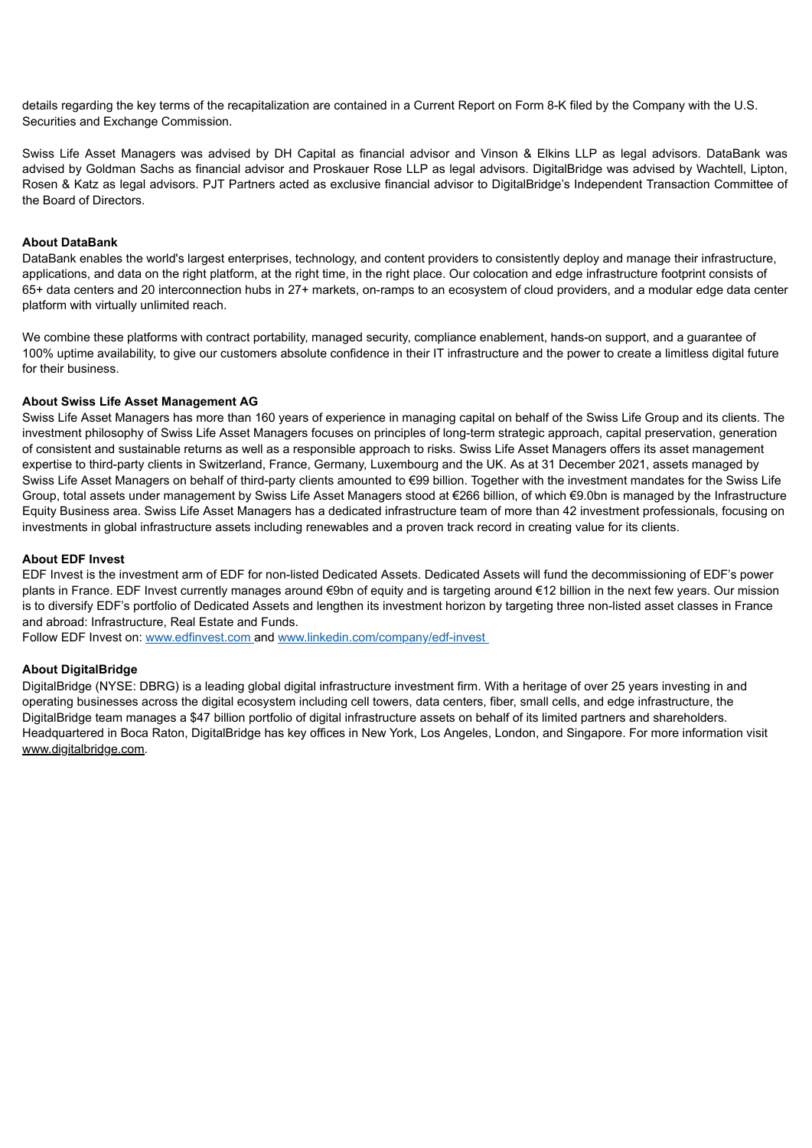details regarding the key terms of the recapitalization are contained in a Current Report on Form 8-K filed by the Company with the U.S. Securities and Exchange Commission.

Swiss Life Asset Managers was advised by DH Capital as financial advisor and Vinson & Elkins LLP as legal advisors. DataBank was advised by Goldman Sachs as financial advisor and Proskauer Rose LLP as legal advisors. DigitalBridge was advised by Wachtell, Lipton, Rosen & Katz as legal advisors. PJT Partners acted as exclusive financial advisor to DigitalBridge's Independent Transaction Committee of the Board of Directors.

#### **About DataBank**

DataBank enables the world's largest enterprises, technology, and content providers to consistently deploy and manage their infrastructure, applications, and data on the right platform, at the right time, in the right place. Our colocation and edge infrastructure footprint consists of 65+ data centers and 20 interconnection hubs in 27+ markets, on-ramps to an ecosystem of cloud providers, and a modular edge data center platform with virtually unlimited reach.

We combine these platforms with contract portability, managed security, compliance enablement, hands-on support, and a quarantee of 100% uptime availability, to give our customers absolute confidence in their IT infrastructure and the power to create a limitless digital future for their business.

#### **About Swiss Life Asset Management AG**

Swiss Life Asset Managers has more than 160 years of experience in managing capital on behalf of the Swiss Life Group and its clients. The investment philosophy of Swiss Life Asset Managers focuses on principles of long-term strategic approach, capital preservation, generation of consistent and sustainable returns as well as a responsible approach to risks. Swiss Life Asset Managers offers its asset management expertise to third-party clients in Switzerland, France, Germany, Luxembourg and the UK. As at 31 December 2021, assets managed by Swiss Life Asset Managers on behalf of third-party clients amounted to €99 billion. Together with the investment mandates for the Swiss Life Group, total assets under management by Swiss Life Asset Managers stood at €266 billion, of which €9.0bn is managed by the Infrastructure Equity Business area. Swiss Life Asset Managers has a dedicated infrastructure team of more than 42 investment professionals, focusing on investments in global infrastructure assets including renewables and a proven track record in creating value for its clients.

#### **About EDF Invest**

EDF Invest is the investment arm of EDF for non-listed Dedicated Assets. Dedicated Assets will fund the decommissioning of EDF's power plants in France. EDF Invest currently manages around €9bn of equity and is targeting around €12 billion in the next few years. Our mission is to diversify EDF's portfolio of Dedicated Assets and lengthen its investment horizon by targeting three non-listed asset classes in France and abroad: Infrastructure, Real Estate and Funds.

Follow EDF Invest on: www.edfinvest.com and www.linkedin.com/company/edf-invest

#### **About DigitalBridge**

DigitalBridge (NYSE: DBRG) is a leading global digital infrastructure investment firm. With a heritage of over 25 years investing in and operating businesses across the digital ecosystem including cell towers, data centers, fiber, small cells, and edge infrastructure, the DigitalBridge team manages a \$47 billion portfolio of digital infrastructure assets on behalf of its limited partners and shareholders. Headquartered in Boca Raton, DigitalBridge has key offices in New York, Los Angeles, London, and Singapore. For more information visit www.digitalbridge.com.